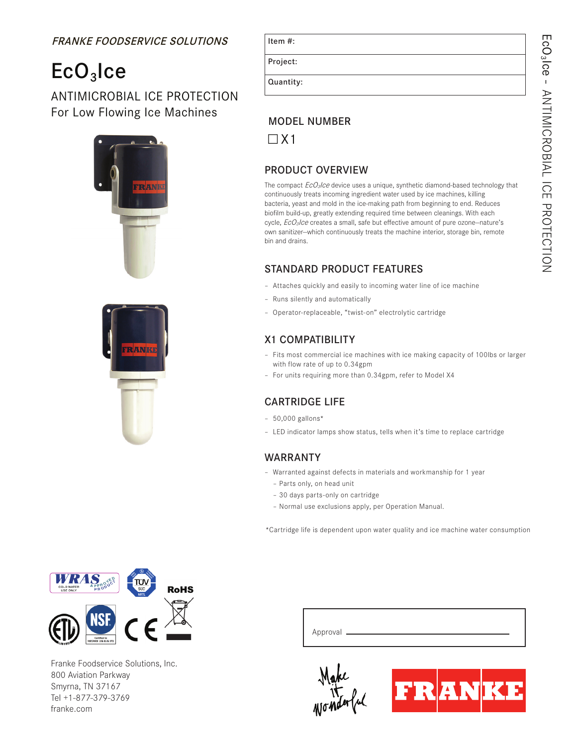# FRANKE FOODSERVICE SOLUTIONS

# $ECO<sub>3</sub>$ Ice

### ANTIMICROBIAL ICE PROTECTION For Low Flowing Ice Machines





| 1 L C I I I | π<br>٠ |  |
|-------------|--------|--|
|             |        |  |
|             |        |  |
|             |        |  |

 $H = m \cdot H$ 

Project:

Quantity:

# MODEL NUMBER

 $\Box$  X1

# PRODUCT OVERVIEW

The compact  $EcO_3/ce$  device uses a unique, synthetic diamond-based technology that continuously treats incoming ingredient water used by ice machines, killing bacteria, yeast and mold in the ice-making path from beginning to end. Reduces biofilm build-up, greatly extending required time between cleanings. With each cycle,  $EcO<sub>3</sub>/ce$  creates a small, safe but effective amount of pure ozone-nature's own sanitizer--which continuously treats the machine interior, storage bin, remote bin and drains.

#### STANDARD PRODUCT FEATURES

- Attaches quickly and easily to incoming water line of ice machine
- Runs silently and automatically
- Operator-replaceable, "twist-on" electrolytic cartridge

# X1 COMPATIBILITY

- Fits most commercial ice machines with ice making capacity of 100lbs or larger with flow rate of up to 0.34gpm
- For units requiring more than 0.34gpm, refer to Model X4

#### CARTRIDGE LIFE

- 50,000 gallons\*
- LED indicator lamps show status, tells when it's time to replace cartridge

#### WARRANTY

- Warranted against defects in materials and workmanship for 1 year
	- Parts only, on head unit
	- 30 days parts-only on cartridge
	- Normal use exclusions apply, per Operation Manual.

\*Cartridge life is dependent upon water quality and ice machine water consumption



Franke Foodservice Solutions, Inc. 800 Aviation Parkway Smyrna, TN 37167 Tel +1-877-379-3769 franke.com

| Approval _______ |  |  |
|------------------|--|--|
|                  |  |  |